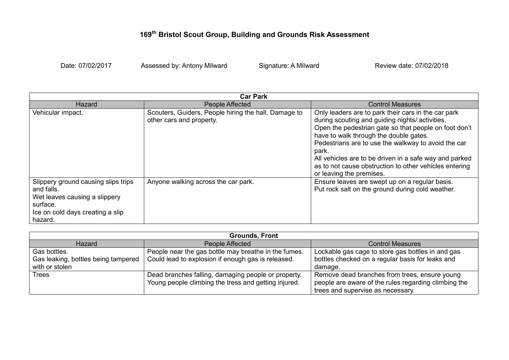## **169th Bristol Scout Group, Building and Grounds Risk Assessment**

Date: 07/02/2017 Assessed by: Antony Milward Signature: A Milward Review date: 07/02/2018

| <b>Car Park</b>                                                                                                                               |                                                                                  |                                                                                                                                                                                                                                                                                                                                                                                                                           |
|-----------------------------------------------------------------------------------------------------------------------------------------------|----------------------------------------------------------------------------------|---------------------------------------------------------------------------------------------------------------------------------------------------------------------------------------------------------------------------------------------------------------------------------------------------------------------------------------------------------------------------------------------------------------------------|
| Hazard                                                                                                                                        | <b>People Affected</b>                                                           | <b>Control Measures</b>                                                                                                                                                                                                                                                                                                                                                                                                   |
| Vehicular impact.                                                                                                                             | Scouters, Guiders, People hiring the hall, Damage to<br>other cars and property. | Only leaders are to park their cars in the car park<br>during scouting and guiding nights/ activities.<br>Open the pedestrian gate so that people on foot don't<br>have to walk through the double gates.<br>Pedestrians are to use the walkway to avoid the car<br>park.<br>All vehicles are to be driven in a safe way and parked<br>as to not cause obstruction to other vehicles entering<br>or leaving the premises. |
| Slippery ground causing slips trips<br>and falls.<br>Wet leaves causing a slippery<br>surface.<br>Ice on cold days creating a slip<br>hazard. | Anyone walking across the car park.                                              | Ensure leaves are swept up on a regular basis.<br>Put rock salt on the ground during cold weather.                                                                                                                                                                                                                                                                                                                        |

| <b>Grounds, Front</b>               |                                                      |                                                      |
|-------------------------------------|------------------------------------------------------|------------------------------------------------------|
| Hazard                              | People Affected                                      | <b>Control Measures</b>                              |
| Gas bottles.                        | People near the gas bottle may breathe in the fumes. | Lockable gas cage to store gas bottles in and gas    |
| Gas leaking, bottles being tampered | Could lead to explosion if enough gas is released.   | bottles checked on a regular basis for leaks and     |
| with or stolen                      |                                                      | damage.                                              |
| <b>Trees</b>                        | Dead branches falling, damaging people or property.  | Remove dead branches from trees, ensure young        |
|                                     | Young people climbing the tress and getting injured. | people are aware of the rules regarding climbing the |
|                                     |                                                      | trees and supervise as necessary.                    |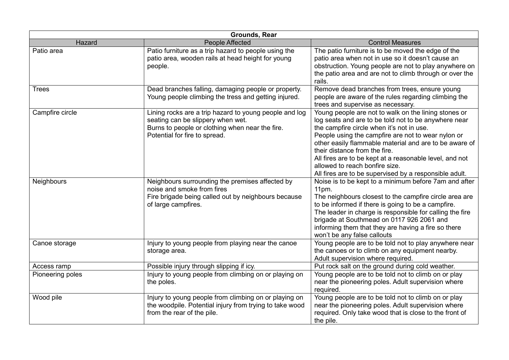| <b>Grounds, Rear</b> |                                                                                                                                                                                 |                                                                                                                                                                                                                                                                                                                                                                                                                                                                   |
|----------------------|---------------------------------------------------------------------------------------------------------------------------------------------------------------------------------|-------------------------------------------------------------------------------------------------------------------------------------------------------------------------------------------------------------------------------------------------------------------------------------------------------------------------------------------------------------------------------------------------------------------------------------------------------------------|
| Hazard               | <b>People Affected</b>                                                                                                                                                          | <b>Control Measures</b>                                                                                                                                                                                                                                                                                                                                                                                                                                           |
| Patio area           | Patio furniture as a trip hazard to people using the<br>patio area, wooden rails at head height for young<br>people.                                                            | The patio furniture is to be moved the edge of the<br>patio area when not in use so it doesn't cause an<br>obstruction. Young people are not to play anywhere on<br>the patio area and are not to climb through or over the<br>rails.                                                                                                                                                                                                                             |
| <b>Trees</b>         | Dead branches falling, damaging people or property.<br>Young people climbing the tress and getting injured.                                                                     | Remove dead branches from trees, ensure young<br>people are aware of the rules regarding climbing the<br>trees and supervise as necessary.                                                                                                                                                                                                                                                                                                                        |
| Campfire circle      | Lining rocks are a trip hazard to young people and log<br>seating can be slippery when wet.<br>Burns to people or clothing when near the fire.<br>Potential for fire to spread. | Young people are not to walk on the lining stones or<br>log seats and are to be told not to be anywhere near<br>the campfire circle when it's not in use.<br>People using the campfire are not to wear nylon or<br>other easily flammable material and are to be aware of<br>their distance from the fire.<br>All fires are to be kept at a reasonable level, and not<br>allowed to reach bonfire size.<br>All fires are to be supervised by a responsible adult. |
| Neighbours           | Neighbours surrounding the premises affected by<br>noise and smoke from fires<br>Fire brigade being called out by neighbours because<br>of large campfires.                     | Noise is to be kept to a minimum before 7am and after<br>$11pm$ .<br>The neighbours closest to the campfire circle area are<br>to be informed if there is going to be a campfire.<br>The leader in charge is responsible for calling the fire<br>brigade at Southmead on 0117 926 2061 and<br>informing them that they are having a fire so there<br>won't be any false callouts                                                                                  |
| Canoe storage        | Injury to young people from playing near the canoe<br>storage area.                                                                                                             | Young people are to be told not to play anywhere near<br>the canoes or to climb on any equipment nearby.<br>Adult supervision where required.                                                                                                                                                                                                                                                                                                                     |
| Access ramp          | Possible injury through slipping if icy.                                                                                                                                        | Put rock salt on the ground during cold weather.                                                                                                                                                                                                                                                                                                                                                                                                                  |
| Pioneering poles     | Injury to young people from climbing on or playing on<br>the poles.                                                                                                             | Young people are to be told not to climb on or play<br>near the pioneering poles. Adult supervision where<br>required.                                                                                                                                                                                                                                                                                                                                            |
| Wood pile            | Injury to young people from climbing on or playing on<br>the woodpile. Potential injury from trying to take wood<br>from the rear of the pile.                                  | Young people are to be told not to climb on or play<br>near the pioneering poles. Adult supervision where<br>required. Only take wood that is close to the front of<br>the pile.                                                                                                                                                                                                                                                                                  |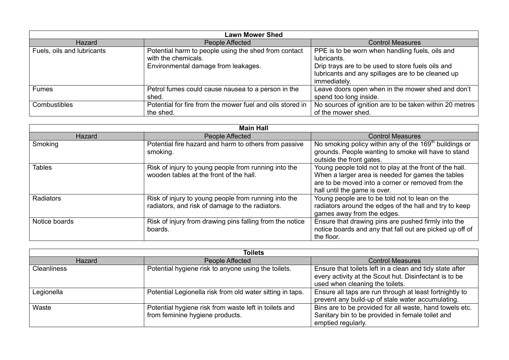| <b>Lawn Mower Shed</b>     |                                                                                                                    |                                                                                                                                                                                          |
|----------------------------|--------------------------------------------------------------------------------------------------------------------|------------------------------------------------------------------------------------------------------------------------------------------------------------------------------------------|
| Hazard                     | People Affected                                                                                                    | <b>Control Measures</b>                                                                                                                                                                  |
| Fuels, oils and lubricants | Potential harm to people using the shed from contact<br>with the chemicals.<br>Environmental damage from leakages. | PPE is to be worn when handling fuels, oils and<br>lubricants.<br>Drip trays are to be used to store fuels oils and<br>lubricants and any spillages are to be cleaned up<br>immediately. |
| <b>Fumes</b>               | Petrol fumes could cause nausea to a person in the<br>shed.                                                        | Leave doors open when in the mower shed and don't<br>spend too long inside.                                                                                                              |
| Combustibles               | Potential for fire from the mower fuel and oils stored in<br>the shed.                                             | No sources of ignition are to be taken within 20 metres<br>of the mower shed.                                                                                                            |

| <b>Main Hall</b> |                                                                                                         |                                                                                                                                                                                                   |
|------------------|---------------------------------------------------------------------------------------------------------|---------------------------------------------------------------------------------------------------------------------------------------------------------------------------------------------------|
| <b>Hazard</b>    | <b>People Affected</b>                                                                                  | <b>Control Measures</b>                                                                                                                                                                           |
| Smoking          | Potential fire hazard and harm to others from passive<br>smoking.                                       | No smoking policy within any of the 169 <sup>th</sup> buildings or<br>grounds. People wanting to smoke will have to stand<br>outside the front gates.                                             |
| <b>Tables</b>    | Risk of injury to young people from running into the<br>wooden tables at the front of the hall.         | Young people told not to play at the front of the hall.<br>When a larger area is needed for games the tables<br>are to be moved into a corner or removed from the<br>hall until the game is over. |
| Radiators        | Risk of injury to young people from running into the<br>radiators, and risk of damage to the radiators. | Young people are to be told not to lean on the<br>radiators around the edges of the hall and try to keep<br>games away from the edges.                                                            |
| Notice boards    | Risk of injury from drawing pins falling from the notice<br>boards.                                     | Ensure that drawing pins are pushed firmly into the<br>notice boards and any that fall out are picked up off of<br>the floor.                                                                     |

| <b>Toilets</b>     |                                                                                          |                                                                                                                                                       |
|--------------------|------------------------------------------------------------------------------------------|-------------------------------------------------------------------------------------------------------------------------------------------------------|
| Hazard             | People Affected                                                                          | <b>Control Measures</b>                                                                                                                               |
| <b>Cleanliness</b> | Potential hygiene risk to anyone using the toilets.                                      | Ensure that toilets left in a clean and tidy state after<br>every activity at the Scout hut. Disinfectant is to be<br>used when cleaning the toilets. |
| Legionella         | Potential Legionella risk from old water sitting in taps.                                | Ensure all taps are run through at least fortnightly to<br>prevent any build-up of stale water accumulating.                                          |
| Waste              | Potential hygiene risk from waste left in toilets and<br>from feminine hygiene products. | Bins are to be provided for all waste, hand towels etc.<br>Sanitary bin to be provided in female toilet and<br>emptied regularly.                     |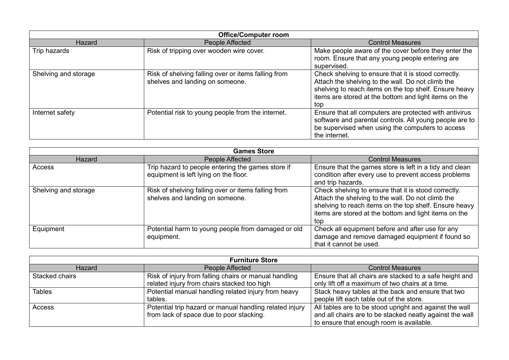| <b>Office/Computer room</b> |                                                                                        |                                                                                                                                                                                                                                     |
|-----------------------------|----------------------------------------------------------------------------------------|-------------------------------------------------------------------------------------------------------------------------------------------------------------------------------------------------------------------------------------|
| <b>Hazard</b>               | People Affected                                                                        | <b>Control Measures</b>                                                                                                                                                                                                             |
| Trip hazards                | Risk of tripping over wooden wire cover.                                               | Make people aware of the cover before they enter the<br>room. Ensure that any young people entering are<br>supervised.                                                                                                              |
| Shelving and storage        | Risk of shelving falling over or items falling from<br>shelves and landing on someone. | Check shelving to ensure that it is stood correctly.<br>Attach the shelving to the wall. Do not climb the<br>shelving to reach items on the top shelf. Ensure heavy<br>items are stored at the bottom and light items on the<br>top |
| Internet safety             | Potential risk to young people from the internet.                                      | Ensure that all computers are protected with antivirus<br>software and parental controls. All young people are to<br>be supervised when using the computers to access<br>the internet.                                              |

| <b>Games Store</b>   |                                                                                            |                                                                                                                                                                                                                                     |
|----------------------|--------------------------------------------------------------------------------------------|-------------------------------------------------------------------------------------------------------------------------------------------------------------------------------------------------------------------------------------|
| Hazard               | People Affected                                                                            | <b>Control Measures</b>                                                                                                                                                                                                             |
| Access               | Trip hazard to people entering the games store if<br>equipment is left lying on the floor. | Ensure that the games store is left in a tidy and clean<br>condition after every use to prevent access problems<br>and trip hazards.                                                                                                |
| Shelving and storage | Risk of shelving falling over or items falling from<br>shelves and landing on someone.     | Check shelving to ensure that it is stood correctly.<br>Attach the shelving to the wall. Do not climb the<br>shelving to reach items on the top shelf. Ensure heavy<br>items are stored at the bottom and light items on the<br>top |
| Equipment            | Potential harm to young people from damaged or old<br>equipment.                           | Check all equipment before and after use for any<br>damage and remove damaged equipment if found so<br>that it cannot be used.                                                                                                      |

| <b>Furniture Store</b> |                                                         |                                                          |
|------------------------|---------------------------------------------------------|----------------------------------------------------------|
| Hazard                 | People Affected                                         | <b>Control Measures</b>                                  |
| Stacked chairs         | Risk of injury from falling chairs or manual handling   | Ensure that all chairs are stacked to a safe height and  |
|                        | related injury from chairs stacked too high             | only lift off a maximum of two chairs at a time.         |
| <b>Tables</b>          | Potential manual handling related injury from heavy     | Stack heavy tables at the back and ensure that two       |
|                        | tables.                                                 | people lift each table out of the store.                 |
| <b>Access</b>          | Potential trip hazard or manual handling related injury | All tables are to be stood upright and against the wall  |
|                        | from lack of space due to poor stacking.                | and all chairs are to be stacked neatly against the wall |
|                        |                                                         | to ensure that enough room is available.                 |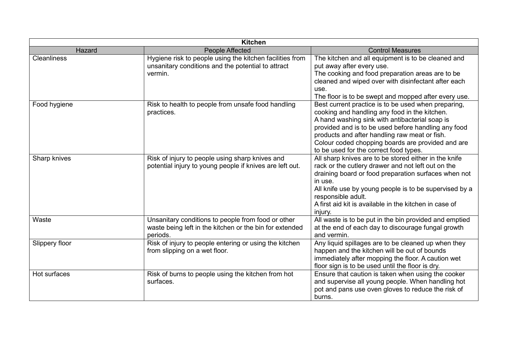| <b>Kitchen</b>     |                                                                                                                           |                                                                                                                                                                                                                                                                                                                                                               |
|--------------------|---------------------------------------------------------------------------------------------------------------------------|---------------------------------------------------------------------------------------------------------------------------------------------------------------------------------------------------------------------------------------------------------------------------------------------------------------------------------------------------------------|
| Hazard             | People Affected                                                                                                           | <b>Control Measures</b>                                                                                                                                                                                                                                                                                                                                       |
| <b>Cleanliness</b> | Hygiene risk to people using the kitchen facilities from<br>unsanitary conditions and the potential to attract<br>vermin. | The kitchen and all equipment is to be cleaned and<br>put away after every use.<br>The cooking and food preparation areas are to be<br>cleaned and wiped over with disinfectant after each<br>use.<br>The floor is to be swept and mopped after every use.                                                                                                    |
| Food hygiene       | Risk to health to people from unsafe food handling<br>practices.                                                          | Best current practice is to be used when preparing,<br>cooking and handling any food in the kitchen.<br>A hand washing sink with antibacterial soap is<br>provided and is to be used before handling any food<br>products and after handling raw meat or fish.<br>Colour coded chopping boards are provided and are<br>to be used for the correct food types. |
| Sharp knives       | Risk of injury to people using sharp knives and<br>potential injury to young people if knives are left out.               | All sharp knives are to be stored either in the knife<br>rack or the cutlery drawer and not left out on the<br>draining board or food preparation surfaces when not<br>in use.<br>All knife use by young people is to be supervised by a<br>responsible adult.<br>A first aid kit is available in the kitchen in case of<br>injury.                           |
| Waste              | Unsanitary conditions to people from food or other<br>waste being left in the kitchen or the bin for extended<br>periods. | All waste is to be put in the bin provided and emptied<br>at the end of each day to discourage fungal growth<br>and vermin.                                                                                                                                                                                                                                   |
| Slippery floor     | Risk of injury to people entering or using the kitchen<br>from slipping on a wet floor.                                   | Any liquid spillages are to be cleaned up when they<br>happen and the kitchen will be out of bounds<br>immediately after mopping the floor. A caution wet<br>floor sign is to be used until the floor is dry.                                                                                                                                                 |
| Hot surfaces       | Risk of burns to people using the kitchen from hot<br>surfaces.                                                           | Ensure that caution is taken when using the cooker<br>and supervise all young people. When handling hot<br>pot and pans use oven gloves to reduce the risk of<br>burns.                                                                                                                                                                                       |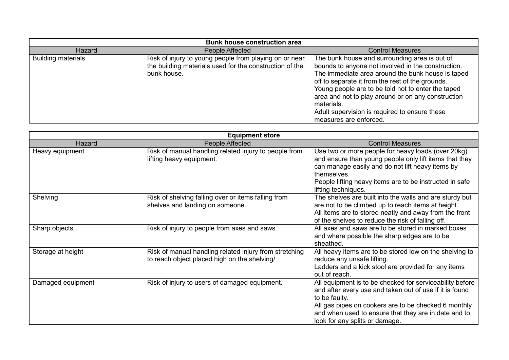| <b>Bunk house construction area</b> |                                                                                                                                  |                                                                                                                                                                                                                                                                                                                                                                                                                   |
|-------------------------------------|----------------------------------------------------------------------------------------------------------------------------------|-------------------------------------------------------------------------------------------------------------------------------------------------------------------------------------------------------------------------------------------------------------------------------------------------------------------------------------------------------------------------------------------------------------------|
| Hazard                              | People Affected                                                                                                                  | <b>Control Measures</b>                                                                                                                                                                                                                                                                                                                                                                                           |
| <b>Building materials</b>           | Risk of injury to young people from playing on or near<br>the building materials used for the construction of the<br>bunk house. | The bunk house and surrounding area is out of<br>bounds to anyone not involved in the construction.<br>The immediate area around the bunk house is taped<br>off to separate it from the rest of the grounds.<br>Young people are to be told not to enter the taped<br>area and not to play around or on any construction<br>materials.<br>Adult supervision is required to ensure these<br>measures are enforced. |

| <b>Equipment store</b> |                                                                                                        |                                                                                                                                                                                                                                                                                        |
|------------------------|--------------------------------------------------------------------------------------------------------|----------------------------------------------------------------------------------------------------------------------------------------------------------------------------------------------------------------------------------------------------------------------------------------|
| Hazard                 | People Affected                                                                                        | <b>Control Measures</b>                                                                                                                                                                                                                                                                |
| Heavy equipment        | Risk of manual handling related injury to people from<br>lifting heavy equipment.                      | Use two or more people for heavy loads (over 20kg)<br>and ensure than young people only lift items that they<br>can manage easily and do not lift heavy items by<br>themselves.<br>People lifting heavy items are to be instructed in safe<br>lifting techniques.                      |
| Shelving               | Risk of shelving falling over or items falling from<br>shelves and landing on someone.                 | The shelves are built into the walls and are sturdy but<br>are not to be climbed up to reach items at height.<br>All items are to stored neatly and away from the front<br>of the shelves to reduce the risk of falling off.                                                           |
| Sharp objects          | Risk of injury to people from axes and saws.                                                           | All axes and saws are to be stored in marked boxes<br>and where possible the sharp edges are to be<br>sheathed.                                                                                                                                                                        |
| Storage at height      | Risk of manual handling related injury from stretching<br>to reach object placed high on the shelving/ | All heavy items are to be stored low on the shelving to<br>reduce any unsafe lifting.<br>Ladders and a kick stool are provided for any items<br>out of reach.                                                                                                                          |
| Damaged equipment      | Risk of injury to users of damaged equipment.                                                          | All equipment is to be checked for serviceability before<br>and after every use and taken out of use if it is found<br>to be faulty.<br>All gas pipes on cookers are to be checked 6 monthly<br>and when used to ensure that they are in date and to<br>look for any splits or damage. |